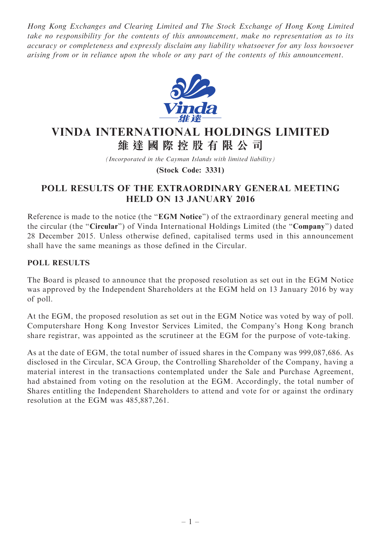Hong Kong Exchanges and Clearing Limited and The Stock Exchange of Hong Kong Limited take no responsibility for the contents of this announcement, make no representation as to its accuracy or completeness and expressly disclaim any liability whatsoever for any loss howsoever arising from or in reliance upon the whole or any part of the contents of this announcement.



## VINDA INTERNATIONAL HOLDINGS LIMITED 維 達 國 際 控 股 有 限 公 司

(Incorporated in the Cayman Islands with limited liability)

(Stock Code: 3331)

## POLL RESULTS OF THE EXTRAORDINARY GENERAL MEETING HELD ON 13 JANUARY 2016

Reference is made to the notice (the "EGM Notice") of the extraordinary general meeting and the circular (the "Circular") of Vinda International Holdings Limited (the "Company") dated 28 December 2015. Unless otherwise defined, capitalised terms used in this announcement shall have the same meanings as those defined in the Circular.

## POLL RESULTS

The Board is pleased to announce that the proposed resolution as set out in the EGM Notice was approved by the Independent Shareholders at the EGM held on 13 January 2016 by way of poll.

At the EGM, the proposed resolution as set out in the EGM Notice was voted by way of poll. Computershare Hong Kong Investor Services Limited, the Company's Hong Kong branch share registrar, was appointed as the scrutineer at the EGM for the purpose of vote-taking.

As at the date of EGM, the total number of issued shares in the Company was 999,087,686. As disclosed in the Circular, SCA Group, the Controlling Shareholder of the Company, having a material interest in the transactions contemplated under the Sale and Purchase Agreement, had abstained from voting on the resolution at the EGM. Accordingly, the total number of Shares entitling the Independent Shareholders to attend and vote for or against the ordinary resolution at the EGM was 485,887,261.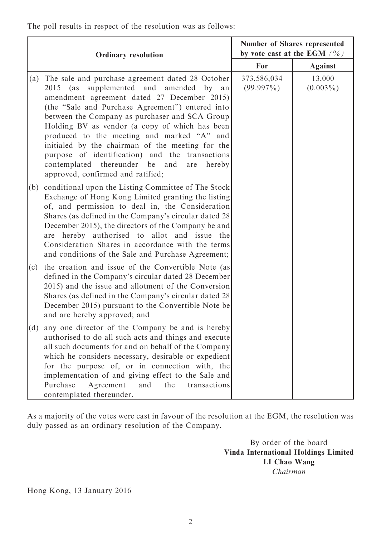The poll results in respect of the resolution was as follows:

|     | <b>Ordinary resolution</b>                                                                                                                                                                                                                                                                                                                                                                                                                                                                                                                      | <b>Number of Shares represented</b><br>by vote cast at the EGM $(%)$ |                       |
|-----|-------------------------------------------------------------------------------------------------------------------------------------------------------------------------------------------------------------------------------------------------------------------------------------------------------------------------------------------------------------------------------------------------------------------------------------------------------------------------------------------------------------------------------------------------|----------------------------------------------------------------------|-----------------------|
|     |                                                                                                                                                                                                                                                                                                                                                                                                                                                                                                                                                 | For                                                                  | <b>Against</b>        |
| (a) | The sale and purchase agreement dated 28 October<br>2015 (as supplemented and amended by an<br>amendment agreement dated 27 December 2015)<br>(the "Sale and Purchase Agreement") entered into<br>between the Company as purchaser and SCA Group<br>Holding BV as vendor (a copy of which has been<br>produced to the meeting and marked "A" and<br>initialed by the chairman of the meeting for the<br>purpose of identification) and the transactions<br>contemplated thereunder be and<br>hereby<br>are<br>approved, confirmed and ratified; | 373,586,034<br>$(99.997\%)$                                          | 13,000<br>$(0.003\%)$ |
| (b) | conditional upon the Listing Committee of The Stock<br>Exchange of Hong Kong Limited granting the listing<br>of, and permission to deal in, the Consideration<br>Shares (as defined in the Company's circular dated 28)<br>December 2015), the directors of the Company be and<br>are hereby authorised to allot and issue the<br>Consideration Shares in accordance with the terms<br>and conditions of the Sale and Purchase Agreement;                                                                                                       |                                                                      |                       |
| (c) | the creation and issue of the Convertible Note (as)<br>defined in the Company's circular dated 28 December<br>2015) and the issue and allotment of the Conversion<br>Shares (as defined in the Company's circular dated 28<br>December 2015) pursuant to the Convertible Note be<br>and are hereby approved; and                                                                                                                                                                                                                                |                                                                      |                       |
| (d) | any one director of the Company be and is hereby<br>authorised to do all such acts and things and execute<br>all such documents for and on behalf of the Company<br>which he considers necessary, desirable or expedient<br>for the purpose of, or in connection with, the<br>implementation of and giving effect to the Sale and<br>Purchase<br>Agreement<br>and<br>the<br>transactions<br>contemplated thereunder.                                                                                                                            |                                                                      |                       |

As a majority of the votes were cast in favour of the resolution at the EGM, the resolution was duly passed as an ordinary resolution of the Company.

> By order of the board Vinda International Holdings Limited LI Chao Wang Chairman

Hong Kong, 13 January 2016